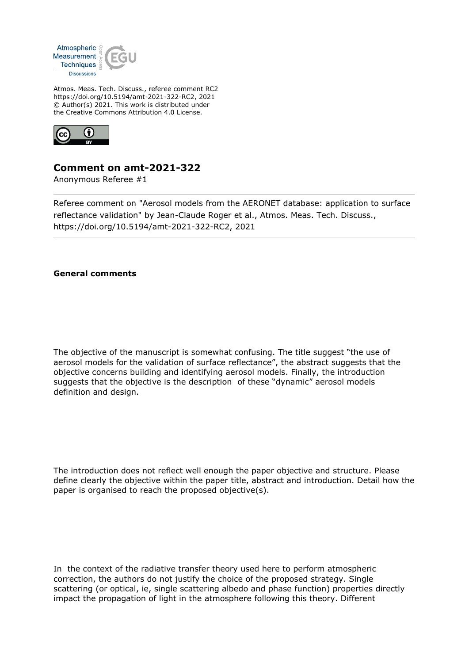

Atmos. Meas. Tech. Discuss., referee comment RC2 https://doi.org/10.5194/amt-2021-322-RC2, 2021 © Author(s) 2021. This work is distributed under the Creative Commons Attribution 4.0 License.



## **Comment on amt-2021-322**

Anonymous Referee #1

Referee comment on "Aerosol models from the AERONET database: application to surface reflectance validation" by Jean-Claude Roger et al., Atmos. Meas. Tech. Discuss., https://doi.org/10.5194/amt-2021-322-RC2, 2021

## **General comments**

The objective of the manuscript is somewhat confusing. The title suggest "the use of aerosol models for the validation of surface reflectance", the abstract suggests that the objective concerns building and identifying aerosol models. Finally, the introduction suggests that the objective is the description of these "dynamic" aerosol models definition and design.

The introduction does not reflect well enough the paper objective and structure. Please define clearly the objective within the paper title, abstract and introduction. Detail how the paper is organised to reach the proposed objective(s).

In the context of the radiative transfer theory used here to perform atmospheric correction, the authors do not justify the choice of the proposed strategy. Single scattering (or optical, ie, single scattering albedo and phase function) properties directly impact the propagation of light in the atmosphere following this theory. Different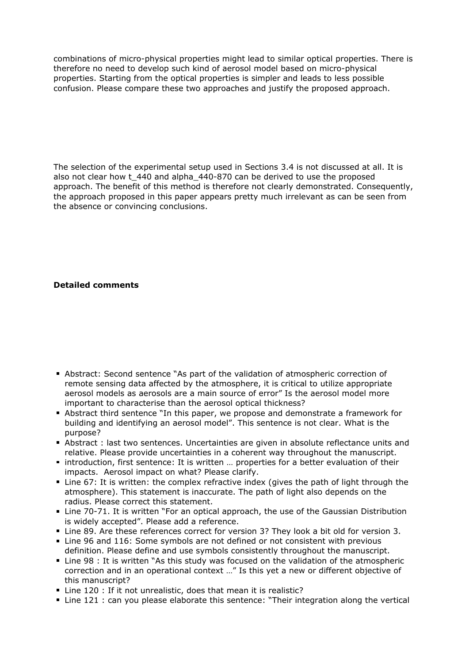combinations of micro-physical properties might lead to similar optical properties. There is therefore no need to develop such kind of aerosol model based on micro-physical properties. Starting from the optical properties is simpler and leads to less possible confusion. Please compare these two approaches and justify the proposed approach.

The selection of the experimental setup used in Sections 3.4 is not discussed at all. It is also not clear how t\_440 and alpha\_440-870 can be derived to use the proposed approach. The benefit of this method is therefore not clearly demonstrated. Consequently, the approach proposed in this paper appears pretty much irrelevant as can be seen from the absence or convincing conclusions.

## **Detailed comments**

- Abstract: Second sentence "As part of the validation of atmospheric correction of remote sensing data affected by the atmosphere, it is critical to utilize appropriate aerosol models as aerosols are a main source of error" Is the aerosol model more important to characterise than the aerosol optical thickness?
- Abstract third sentence "In this paper, we propose and demonstrate a framework for building and identifying an aerosol model". This sentence is not clear. What is the purpose?
- Abstract : last two sentences. Uncertainties are given in absolute reflectance units and relative. Please provide uncertainties in a coherent way throughout the manuscript.
- introduction, first sentence: It is written ... properties for a better evaluation of their impacts. Aerosol impact on what? Please clarify.
- Line 67: It is written: the complex refractive index (gives the path of light through the atmosphere). This statement is inaccurate. The path of light also depends on the radius. Please correct this statement.
- Line 70-71. It is written "For an optical approach, the use of the Gaussian Distribution is widely accepted". Please add a reference.
- Line 89. Are these references correct for version 3? They look a bit old for version 3.
- Line 96 and 116: Some symbols are not defined or not consistent with previous definition. Please define and use symbols consistently throughout the manuscript.
- Line 98 : It is written "As this study was focused on the validation of the atmospheric correction and in an operational context …" Is this yet a new or different objective of this manuscript?
- Line 120 : If it not unrealistic, does that mean it is realistic?
- Line 121 : can you please elaborate this sentence: "Their integration along the vertical